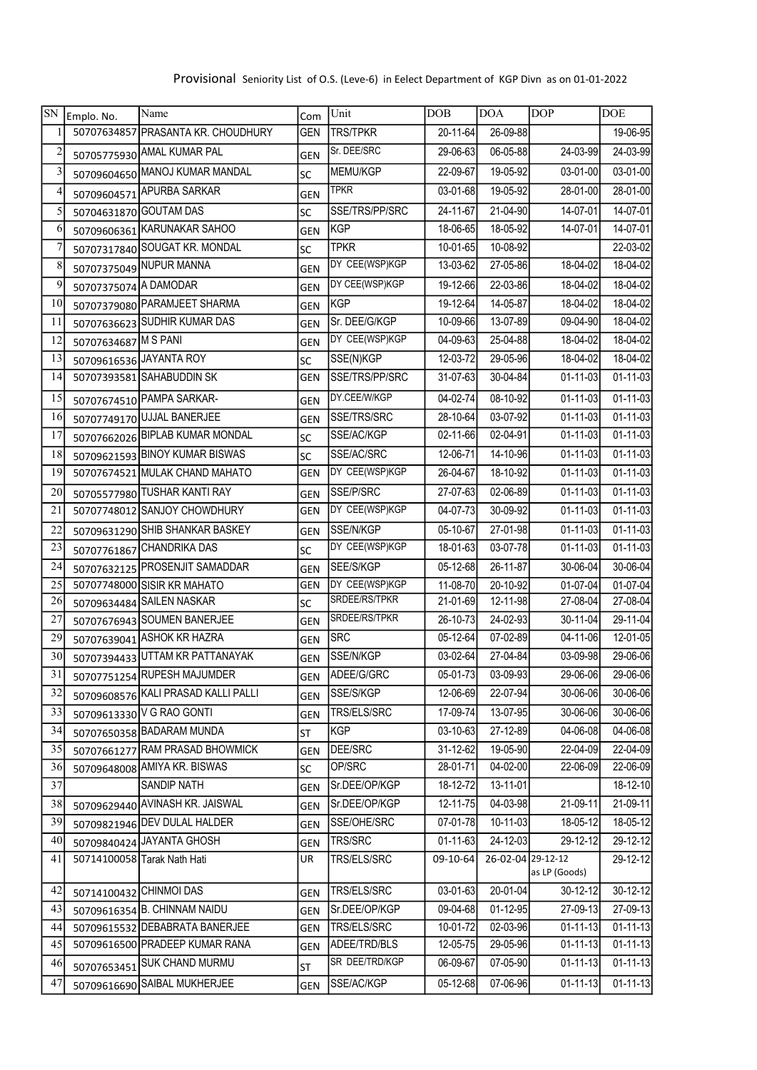| SN                      | Emplo. No.            | Name                                | Com        | Unit            | <b>DOB</b>     | <b>DOA</b>        | <b>DOP</b>             | <b>DOE</b>     |
|-------------------------|-----------------------|-------------------------------------|------------|-----------------|----------------|-------------------|------------------------|----------------|
|                         |                       | 50707634857 PRASANTA KR. CHOUDHURY  | GEN        | <b>TRS/TPKR</b> | 20-11-64       | 26-09-88          |                        | 19-06-95       |
| $\overline{\mathbf{c}}$ |                       | 50705775930 AMAL KUMAR PAL          | <b>GEN</b> | Sr. DEE/SRC     | 29-06-63       | 06-05-88          | $24 - 03 - 99$         | 24-03-99       |
| 3                       |                       | 50709604650 MANOJ KUMAR MANDAL      | SC         | MEMU/KGP        | 22-09-67       | 19-05-92          | 03-01-00               | 03-01-00       |
| 4                       | 50709604571           | <b>APURBA SARKAR</b>                | <b>GEN</b> | <b>TPKR</b>     | 03-01-68       | 19-05-92          | 28-01-00               | 28-01-00       |
| 5                       |                       | 50704631870 GOUTAM DAS              | SC         | SSE/TRS/PP/SRC  | 24-11-67       | 21-04-90          | 14-07-01               | 14-07-01       |
| 6                       |                       | 50709606361 KARUNAKAR SAHOO         | <b>GEN</b> | <b>KGP</b>      | 18-06-65       | 18-05-92          | 14-07-01               | 14-07-01       |
| $\overline{7}$          |                       | 50707317840 SOUGAT KR. MONDAL       | <b>SC</b>  | <b>TPKR</b>     | 10-01-65       | 10-08-92          |                        | 22-03-02       |
| 8                       |                       | 50707375049 NUPUR MANNA             | <b>GEN</b> | DY CEE(WSP)KGP  | 13-03-62       | 27-05-86          | 18-04-02               | 18-04-02       |
| 9                       | 50707375074 A DAMODAR |                                     | <b>GEN</b> | DY CEE(WSP)KGP  | 19-12-66       | 22-03-86          | 18-04-02               | 18-04-02       |
| 10                      |                       | 50707379080 PARAMJEET SHARMA        | GEN        | <b>KGP</b>      | 19-12-64       | 14-05-87          | 18-04-02               | 18-04-02       |
| 11                      |                       | 50707636623 SUDHIR KUMAR DAS        | <b>GEN</b> | Sr. DEE/G/KGP   | 10-09-66       | 13-07-89          | 09-04-90               | 18-04-02       |
| 12                      | 50707634687 M S PANI  |                                     | <b>GEN</b> | DY CEE(WSP)KGP  | 04-09-63       | 25-04-88          | 18-04-02               | 18-04-02       |
| 13                      |                       | 50709616536 JAYANTA ROY             | SC         | SSE(N)KGP       | 12-03-72       | 29-05-96          | 18-04-02               | 18-04-02       |
| 14                      |                       | 50707393581 SAHABUDDIN SK           | GEN        | SSE/TRS/PP/SRC  | 31-07-63       | 30-04-84          | $01 - 11 - 03$         | $01 - 11 - 03$ |
| 15                      |                       | 50707674510 PAMPA SARKAR-           | <b>GEN</b> | DY.CEE/W/KGP    | 04-02-74       | 08-10-92          | 01-11-03               | $01 - 11 - 03$ |
| 16                      |                       | 50707749170 UJJAL BANERJEE          | <b>GEN</b> | SSE/TRS/SRC     | $28 - 10 - 64$ | 03-07-92          | $01 - 11 - 03$         | $01 - 11 - 03$ |
| 17                      |                       | 50707662026 BIPLAB KUMAR MONDAL     | SC         | SSE/AC/KGP      | 02-11-66       | 02-04-91          | 01-11-03               | $01 - 11 - 03$ |
| 18                      |                       | 50709621593 BINOY KUMAR BISWAS      | <b>SC</b>  | SSE/AC/SRC      | 12-06-71       | 14-10-96          | 01-11-03               | $01 - 11 - 03$ |
| 19                      |                       | 50707674521 MULAK CHAND MAHATO      | GEN        | DY CEE(WSP)KGP  | 26-04-67       | 18-10-92          | $01 - 11 - 03$         | $01 - 11 - 03$ |
| 20                      |                       | 50705577980 TUSHAR KANTI RAY        | <b>GEN</b> | SSE/P/SRC       | 27-07-63       | 02-06-89          | $\overline{01-11}$ -03 | $01 - 11 - 03$ |
| 21                      |                       | 50707748012 SANJOY CHOWDHURY        | GEN        | DY CEE(WSP)KGP  | $04 - 07 - 73$ | 30-09-92          | 01-11-03               | $01 - 11 - 03$ |
| 22                      |                       | 50709631290 SHIB SHANKAR BASKEY     | <b>GEN</b> | SSE/N/KGP       | 05-10-67       | 27-01-98          | $\overline{01-11-03}$  | $01 - 11 - 03$ |
| 23                      |                       | 50707761867 CHANDRIKA DAS           | SC         | DY CEE(WSP)KGP  | 18-01-63       | 03-07-78          | $01 - 11 - 03$         | $01 - 11 - 03$ |
| 24                      |                       | 50707632125 PROSENJIT SAMADDAR      | <b>GEN</b> | SEE/S/KGP       | 05-12-68       | 26-11-87          | 30-06-04               | 30-06-04       |
| 25                      |                       | 50707748000 SISIR KR MAHATO         | <b>GEN</b> | DY CEE(WSP)KGP  | 11-08-70       | 20-10-92          | 01-07-04               | $01-07-04$     |
| 26                      |                       | 50709634484 SAILEN NASKAR           | SC         | SRDEE/RS/TPKR   | 21-01-69       | 12-11-98          | 27-08-04               | 27-08-04       |
| 27                      |                       | 50707676943 SOUMEN BANERJEE         | GEN        | SRDEE/RS/TPKR   | 26-10-73       | 24-02-93          | 30-11-04               | $29 - 11 - 04$ |
| 29                      |                       | 50707639041 ASHOK KR HAZRA          | <b>GEN</b> | <b>SRC</b>      | 05-12-64       | 07-02-89          | 04-11-06               | $12 - 01 - 05$ |
| 30                      |                       | 50707394433 UTTAM KR PATTANAYAK     | <b>GEN</b> | SSE/N/KGP       | $03 - 02 - 64$ | 27-04-84          | 03-09-98               | 29-06-06       |
| 31                      |                       | 50707751254 RUPESH MAJUMDER         | GEN        | ADEE/G/GRC      | $05 - 01 - 73$ | $03 - 09 - 93$    | 29-06-06               | 29-06-06       |
| 32                      |                       | 50709608576 KALI PRASAD KALLI PALLI | GEN        | SSE/S/KGP       | 12-06-69       | 22-07-94          | $30 - 06 - 06$         | 30-06-06       |
| 33                      |                       | 50709613330 V G RAO GONTI           | <b>GEN</b> | TRS/ELS/SRC     | 17-09-74       | 13-07-95          | 30-06-06               | 30-06-06       |
| 34                      |                       | 50707650358 BADARAM MUNDA           | <b>ST</b>  | <b>KGP</b>      | $03 - 10 - 63$ | 27-12-89          | $04 - 06 - 08$         | $04 - 06 - 08$ |
| 35                      |                       | 50707661277 RAM PRASAD BHOWMICK     | <b>GEN</b> | DEE/SRC         | 31-12-62       | 19-05-90          | 22-04-09               | 22-04-09       |
| 36                      |                       | 50709648008 AMIYA KR. BISWAS        | lsc        | OP/SRC          | 28-01-71       | 04-02-00          | 22-06-09               | 22-06-09       |
| 37                      |                       | SANDIP NATH                         | GEN        | Sr.DEE/OP/KGP   | 18-12-72       | 13-11-01          |                        | 18-12-10       |
| 38                      |                       | 50709629440 AVINASH KR. JAISWAL     | <b>GEN</b> | Sr.DEE/OP/KGP   | $12 - 11 - 75$ | 04-03-98          | 21-09-11               | 21-09-11       |
| 39                      |                       | 50709821946 DEV DULAL HALDER        | GEN        | SSE/OHE/SRC     | 07-01-78       | 10-11-03          | 18-05-12               | 18-05-12       |
| 40                      |                       | 50709840424 JAYANTA GHOSH           | GEN        | TRS/SRC         | $01 - 11 - 63$ | 24-12-03          | 29-12-12               | 29-12-12       |
| 41                      |                       | 50714100058 Tarak Nath Hati         | UR         | TRS/ELS/SRC     | 09-10-64       | 26-02-04 29-12-12 | as LP (Goods)          | 29-12-12       |
| 42                      |                       | 50714100432 CHINMOI DAS             | GEN        | TRS/ELS/SRC     | $03 - 01 - 63$ | 20-01-04          | 30-12-12               | $30 - 12 - 12$ |
| 43                      |                       | 50709616354 B. CHINNAM NAIDU        | <b>GEN</b> | Sr.DEE/OP/KGP   | 09-04-68       | $01 - 12 - 95$    | 27-09-13               | 27-09-13       |
| 44                      |                       | 50709615532 DEBABRATA BANERJEE      | GEN        | TRS/ELS/SRC     | 10-01-72       | 02-03-96          | $01 - 11 - 13$         | $01 - 11 - 13$ |
| 45                      |                       | 50709616500 PRADEEP KUMAR RANA      | GEN        | ADEE/TRD/BLS    | 12-05-75       | 29-05-96          | $01 - 11 - 13$         | $01 - 11 - 13$ |
| 46                      |                       | 50707653451 SUK CHAND MURMU         | <b>ST</b>  | SR DEE/TRD/KGP  | 06-09-67       | 07-05-90          | $01 - 11 - 13$         | $01 - 11 - 13$ |
| 47                      |                       | 50709616690 SAIBAL MUKHERJEE        | GEN        | SSE/AC/KGP      | 05-12-68       | 07-06-96          | $01 - 11 - 13$         | $01 - 11 - 13$ |